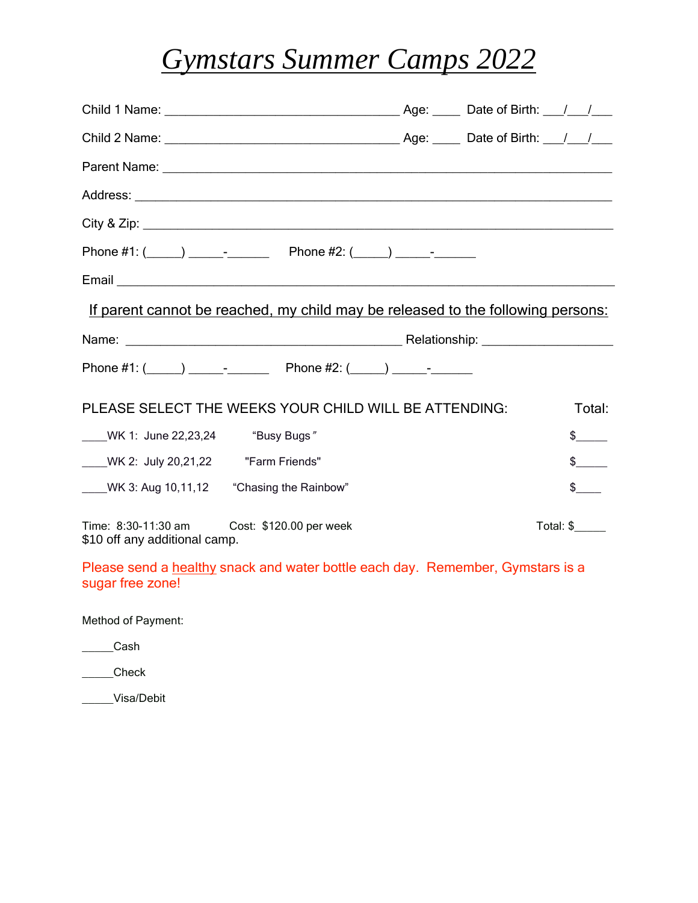## *Gymstars Summer Camps 2022*

| If parent cannot be reached, my child may be released to the following persons: |  |                               |
|---------------------------------------------------------------------------------|--|-------------------------------|
|                                                                                 |  |                               |
| Phone #1: $(\_\_\_\_\_\_\_\_$ Phone #2: $(\_\_\_\_\_\_\_\_\_$                   |  |                               |
| PLEASE SELECT THE WEEKS YOUR CHILD WILL BE ATTENDING:                           |  | Total:                        |
| WK 1: June 22,23,24 "Busy Bugs"                                                 |  | $\frac{1}{2}$                 |
|                                                                                 |  | $\frac{1}{2}$                 |
| WK 3: Aug 10,11,12 "Chasing the Rainbow"                                        |  | $\frac{1}{2}$                 |
| Time: 8:30-11:30 am<br>Cost: \$120.00 per week                                  |  | Total: $\frac{1}{2}$ ________ |

Please send a healthy snack and water bottle each day. Remember, Gymstars is a sugar free zone!

Method of Payment:

\_\_\_\_\_Cash

\_\_\_\_\_Check

\_\_\_\_\_Visa/Debit